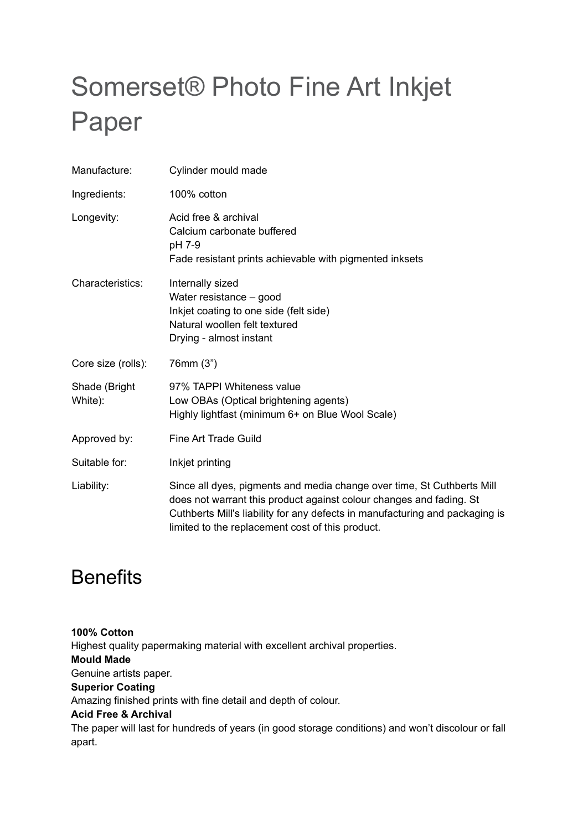# Somerset® Photo Fine Art Inkjet Paper

| Manufacture:             | Cylinder mould made                                                                                                                               |
|--------------------------|---------------------------------------------------------------------------------------------------------------------------------------------------|
| Ingredients:             | 100% cotton                                                                                                                                       |
| Longevity:               | Acid free & archival<br>Calcium carbonate buffered<br>pH 7-9<br>Fade resistant prints achievable with pigmented inksets                           |
| Characteristics:         | Internally sized<br>Water resistance - good<br>Inkjet coating to one side (felt side)<br>Natural woollen felt textured<br>Drying - almost instant |
| Core size (rolls):       | 76mm (3")                                                                                                                                         |
| Shade (Bright<br>White): | 97% TAPPI Whiteness value<br>Low OBAs (Optical brightening agents)<br>Highly lightfast (minimum 6+ on Blue Wool Scale)                            |
| Approved by:             | <b>Fine Art Trade Guild</b>                                                                                                                       |
| Suitable for:            | Inkjet printing                                                                                                                                   |
| Liability:               | Since all dyes, pigments and media change over time, St Cuthberts Mill                                                                            |

### **Benefits**

**100% Cotton** Highest quality papermaking material with excellent archival properties. **Mould Made** Genuine artists paper. **Superior Coating** Amazing finished prints with fine detail and depth of colour. **Acid Free & Archival** The paper will last for hundreds of years (in good storage conditions) and won't discolour or fall apart.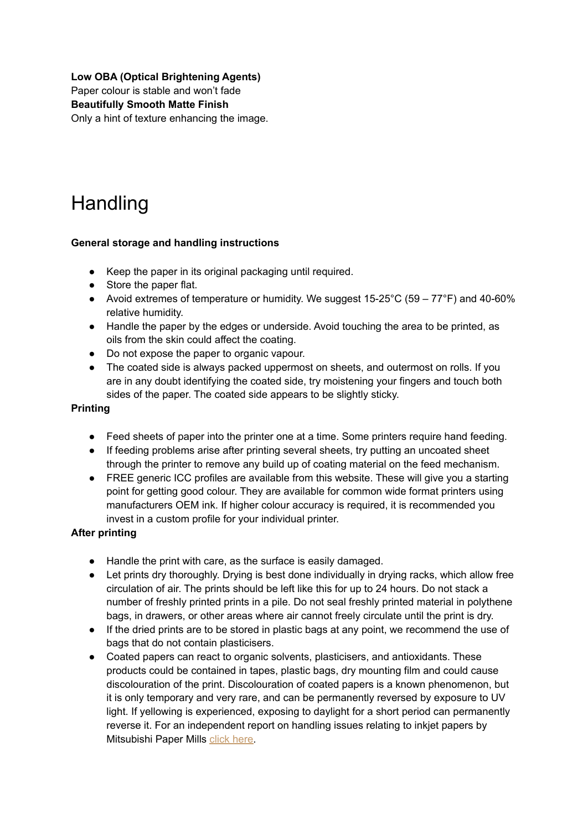#### **Low OBA (Optical Brightening Agents)**

Paper colour is stable and won't fade

**Beautifully Smooth Matte Finish**

Only a hint of texture enhancing the image.

## **Handling**

#### **General storage and handling instructions**

- Keep the paper in its original packaging until required.
- Store the paper flat.
- Avoid extremes of temperature or humidity. We suggest  $15-25^{\circ}$ C (59  $77^{\circ}$ F) and 40-60% relative humidity.
- Handle the paper by the edges or underside. Avoid touching the area to be printed, as oils from the skin could affect the coating.
- Do not expose the paper to organic vapour.
- The coated side is always packed uppermost on sheets, and outermost on rolls. If you are in any doubt identifying the coated side, try moistening your fingers and touch both sides of the paper. The coated side appears to be slightly sticky.

#### **Printing**

- Feed sheets of paper into the printer one at a time. Some printers require hand feeding.
- If feeding problems arise after printing several sheets, try putting an uncoated sheet through the printer to remove any build up of coating material on the feed mechanism.
- FREE generic ICC profiles are available from this website. These will give you a starting point for getting good colour. They are available for common wide format printers using manufacturers OEM ink. If higher colour accuracy is required, it is recommended you invest in a custom profile for your individual printer.

#### **After printing**

- Handle the print with care, as the surface is easily damaged.
- Let prints dry thoroughly. Drying is best done individually in drying racks, which allow free circulation of air. The prints should be left like this for up to 24 hours. Do not stack a number of freshly printed prints in a pile. Do not seal freshly printed material in polythene bags, in drawers, or other areas where air cannot freely circulate until the print is dry.
- If the dried prints are to be stored in plastic bags at any point, we recommend the use of bags that do not contain plasticisers.
- Coated papers can react to organic solvents, plasticisers, and antioxidants. These products could be contained in tapes, plastic bags, dry mounting film and could cause discolouration of the print. Discolouration of coated papers is a known phenomenon, but it is only temporary and very rare, and can be permanently reversed by exposure to UV light. If yellowing is experienced, exposing to daylight for a short period can permanently reverse it. For an independent report on handling issues relating to inkjet papers by Mitsubishi Paper Mills [click here.](http://www.mpm.co.jp/inkjet/english/storage.html)